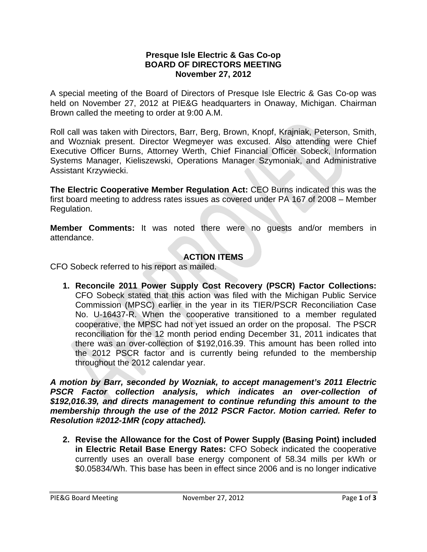## **Presque Isle Electric & Gas Co-op BOARD OF DIRECTORS MEETING November 27, 2012**

A special meeting of the Board of Directors of Presque Isle Electric & Gas Co-op was held on November 27, 2012 at PIE&G headquarters in Onaway, Michigan. Chairman Brown called the meeting to order at 9:00 A.M.

Roll call was taken with Directors, Barr, Berg, Brown, Knopf, Krajniak, Peterson, Smith, and Wozniak present. Director Wegmeyer was excused. Also attending were Chief Executive Officer Burns, Attorney Werth, Chief Financial Officer Sobeck, Information Systems Manager, Kieliszewski, Operations Manager Szymoniak, and Administrative Assistant Krzywiecki.

 Regulation. **The Electric Cooperative Member Regulation Act:** CEO Burns indicated this was the first board meeting to address rates issues as covered under PA 167 of 2008 – Member

**Member Comments:** It was noted there were no guests and/or members in attendance.

## **ACTION ITEMS**

CFO Sobeck referred to his report as mailed.

**1. Reconcile 2011 Power Supply Cost Recovery (PSCR) Factor Collections:**  CFO Sobeck stated that this action was filed with the Michigan Public Service Commission (MPSC) earlier in the year in its TIER/PSCR Reconciliation Case No. U-16437-R. When the cooperative transitioned to a member regulated cooperative, the MPSC had not yet issued an order on the proposal. The PSCR reconciliation for the 12 month period ending December 31, 2011 indicates that there was an over-collection of \$192,016.39. This amount has been rolled into the 2012 PSCR factor and is currently being refunded to the membership throughout the 2012 calendar year.

*A motion by Barr, seconded by Wozniak, to accept management's 2011 Electric PSCR Factor collection analysis, which indicates an over-collection of \$192,016.39, and directs management to continue refunding this amount to the membership through the use of the 2012 PSCR Factor. Motion carried. Refer to Resolution #2012-1MR (copy attached).* 

**2. Revise the Allowance for the Cost of Power Supply (Basing Point) included in Electric Retail Base Energy Rates:** CFO Sobeck indicated the cooperative currently uses an overall base energy component of 58.34 mills per kWh or \$0.05834/Wh. This base has been in effect since 2006 and is no longer indicative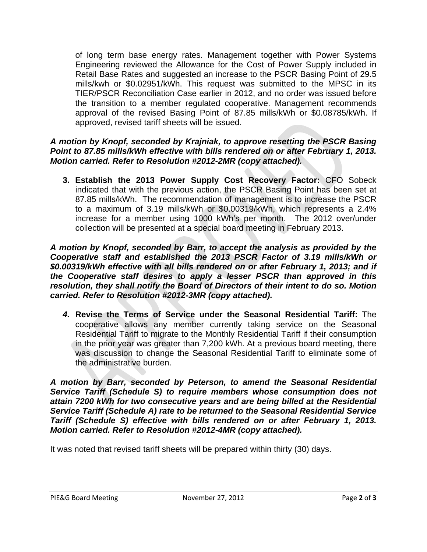of long term base energy rates. Management together with Power Systems Engineering reviewed the Allowance for the Cost of Power Supply included in Retail Base Rates and suggested an increase to the PSCR Basing Point of 29.5 mills/kwh or \$0.02951/kWh. This request was submitted to the MPSC in its TIER/PSCR Reconciliation Case earlier in 2012, and no order was issued before the transition to a member regulated cooperative. Management recommends approval of the revised Basing Point of 87.85 mills/kWh or \$0.08785/kWh. If approved, revised tariff sheets will be issued.

## *A motion by Knopf, seconded by Krajniak, to approve resetting the PSCR Basing Point to 87.85 mills/kWh effective with bills rendered on or after February 1, 2013. Motion carried. Refer to Resolution #2012-2MR (copy attached).*

**3. Establish the 2013 Power Supply Cost Recovery Factor:** CFO Sobeck indicated that with the previous action, the PSCR Basing Point has been set at 87.85 mills/kWh. The recommendation of management is to increase the PSCR to a maximum of 3.19 mills/kWh or \$0.00319/kWh, which represents a 2.4% increase for a member using 1000 kWh's per month. The 2012 over/under collection will be presented at a special board meeting in February 2013.

*A motion by Knopf, seconded by Barr, to accept the analysis as provided by the Cooperative staff and established the 2013 PSCR Factor of 3.19 mills/kWh or \$0.00319/kWh effective with all bills rendered on or after February 1, 2013; and if the Cooperative staff desires to apply a lesser PSCR than approved in this resolution, they shall notify the Board of Directors of their intent to do so. Motion carried. Refer to Resolution #2012-3MR (copy attached).* 

*4.* **Revise the Terms of Service under the Seasonal Residential Tariff:** The cooperative allows any member currently taking service on the Seasonal Residential Tariff to migrate to the Monthly Residential Tariff if their consumption in the prior year was greater than 7,200 kWh. At a previous board meeting, there was discussion to change the Seasonal Residential Tariff to eliminate some of the administrative burden.

*Service Tariff (Schedule A) rate to be returned to the Seasonal Residential Service Tariff (Schedule S) effective with bills rendered on or after February 1, 2013. Motion carried. Refer to Resolution #2012-4MR (copy attached). A motion by Barr, seconded by Peterson, to amend the Seasonal Residential Service Tariff (Schedule S) to require members whose consumption does not attain 7200 kWh for two consecutive years and are being billed at the Residential* 

It was noted that revised tariff sheets will be prepared within thirty (30) days.